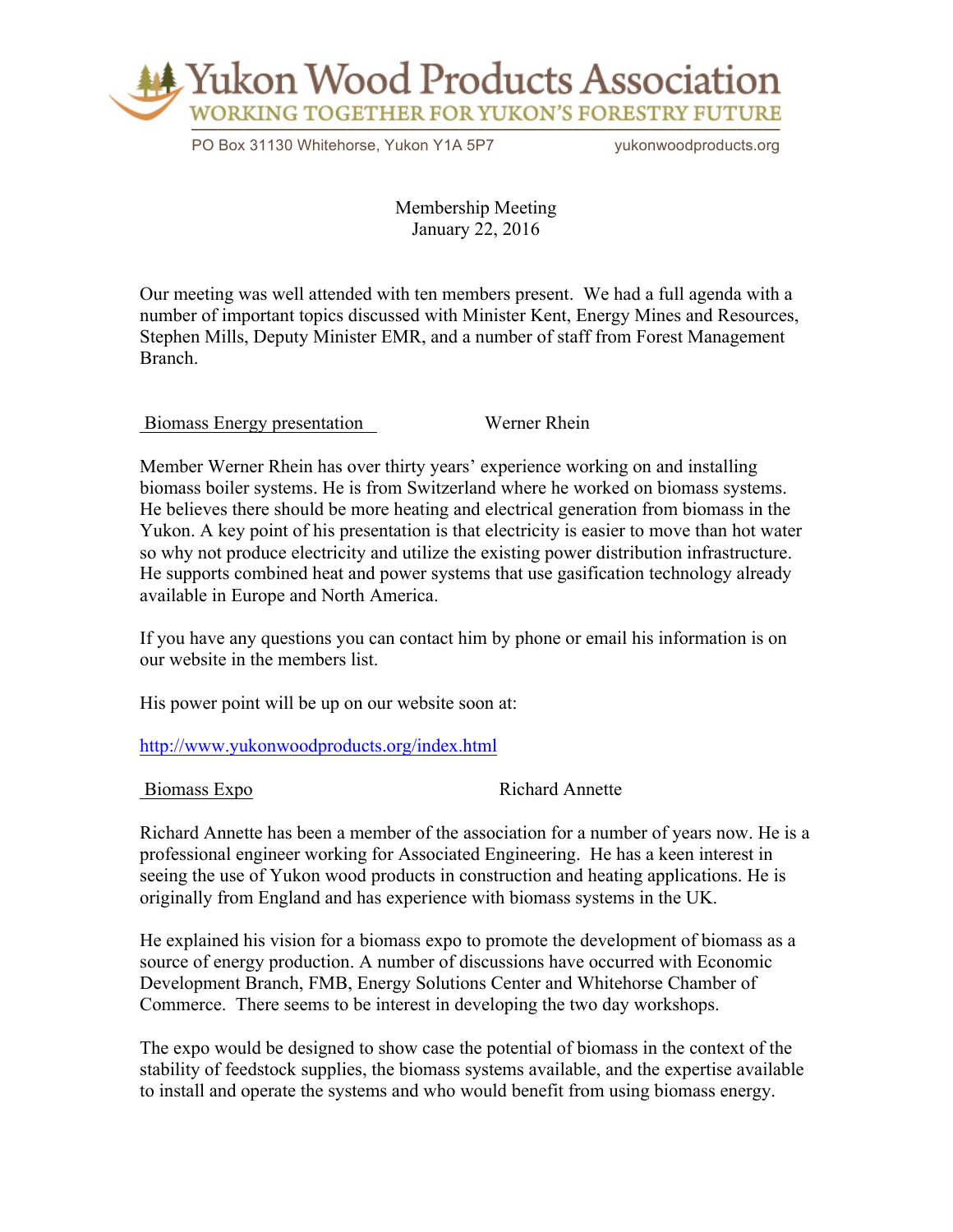

PO Box 31130 Whitehorse, Yukon Y1A 5P7 yukonwoodproducts.org

Membership Meeting January 22, 2016

Our meeting was well attended with ten members present. We had a full agenda with a number of important topics discussed with Minister Kent, Energy Mines and Resources, Stephen Mills, Deputy Minister EMR, and a number of staff from Forest Management Branch.

Biomass Energy presentation Werner Rhein

Member Werner Rhein has over thirty years' experience working on and installing biomass boiler systems. He is from Switzerland where he worked on biomass systems. He believes there should be more heating and electrical generation from biomass in the Yukon. A key point of his presentation is that electricity is easier to move than hot water so why not produce electricity and utilize the existing power distribution infrastructure. He supports combined heat and power systems that use gasification technology already available in Europe and North America.

If you have any questions you can contact him by phone or email his information is on our website in the members list.

His power point will be up on our website soon at:

http://www.yukonwoodproducts.org/index.html

Biomass Expo Richard Annette

Richard Annette has been a member of the association for a number of years now. He is a professional engineer working for Associated Engineering. He has a keen interest in seeing the use of Yukon wood products in construction and heating applications. He is originally from England and has experience with biomass systems in the UK.

He explained his vision for a biomass expo to promote the development of biomass as a source of energy production. A number of discussions have occurred with Economic Development Branch, FMB, Energy Solutions Center and Whitehorse Chamber of Commerce. There seems to be interest in developing the two day workshops.

The expo would be designed to show case the potential of biomass in the context of the stability of feedstock supplies, the biomass systems available, and the expertise available to install and operate the systems and who would benefit from using biomass energy.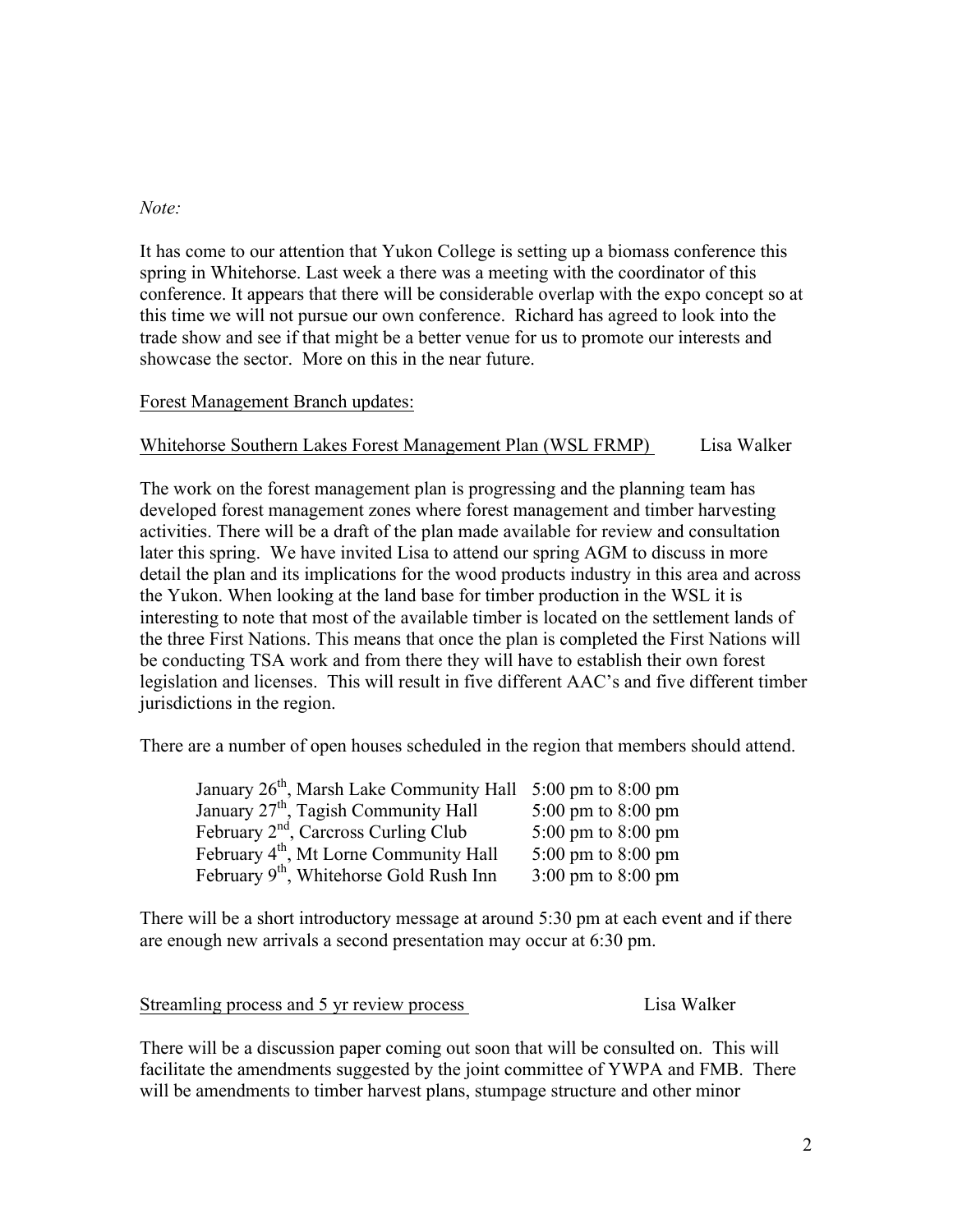### *Note:*

It has come to our attention that Yukon College is setting up a biomass conference this spring in Whitehorse. Last week a there was a meeting with the coordinator of this conference. It appears that there will be considerable overlap with the expo concept so at this time we will not pursue our own conference. Richard has agreed to look into the trade show and see if that might be a better venue for us to promote our interests and showcase the sector. More on this in the near future.

# Forest Management Branch updates:

## Whitehorse Southern Lakes Forest Management Plan (WSL FRMP) Lisa Walker

The work on the forest management plan is progressing and the planning team has developed forest management zones where forest management and timber harvesting activities. There will be a draft of the plan made available for review and consultation later this spring. We have invited Lisa to attend our spring AGM to discuss in more detail the plan and its implications for the wood products industry in this area and across the Yukon. When looking at the land base for timber production in the WSL it is interesting to note that most of the available timber is located on the settlement lands of the three First Nations. This means that once the plan is completed the First Nations will be conducting TSA work and from there they will have to establish their own forest legislation and licenses. This will result in five different AAC's and five different timber jurisdictions in the region.

There are a number of open houses scheduled in the region that members should attend.

| January 26 <sup>th</sup> , Marsh Lake Community Hall 5:00 pm to 8:00 pm |                                        |
|-------------------------------------------------------------------------|----------------------------------------|
| January 27 <sup>th</sup> , Tagish Community Hall                        | 5:00 pm to 8:00 pm                     |
| February 2 <sup>nd</sup> , Carcross Curling Club                        | 5:00 pm to 8:00 pm                     |
| February 4 <sup>th</sup> , Mt Lorne Community Hall                      | 5:00 pm to 8:00 pm                     |
| February 9 <sup>th</sup> , Whitehorse Gold Rush Inn                     | $3:00 \text{ pm}$ to $8:00 \text{ pm}$ |

There will be a short introductory message at around 5:30 pm at each event and if there are enough new arrivals a second presentation may occur at 6:30 pm.

Streamling process and 5 yr review process Lisa Walker

There will be a discussion paper coming out soon that will be consulted on. This will facilitate the amendments suggested by the joint committee of YWPA and FMB. There will be amendments to timber harvest plans, stumpage structure and other minor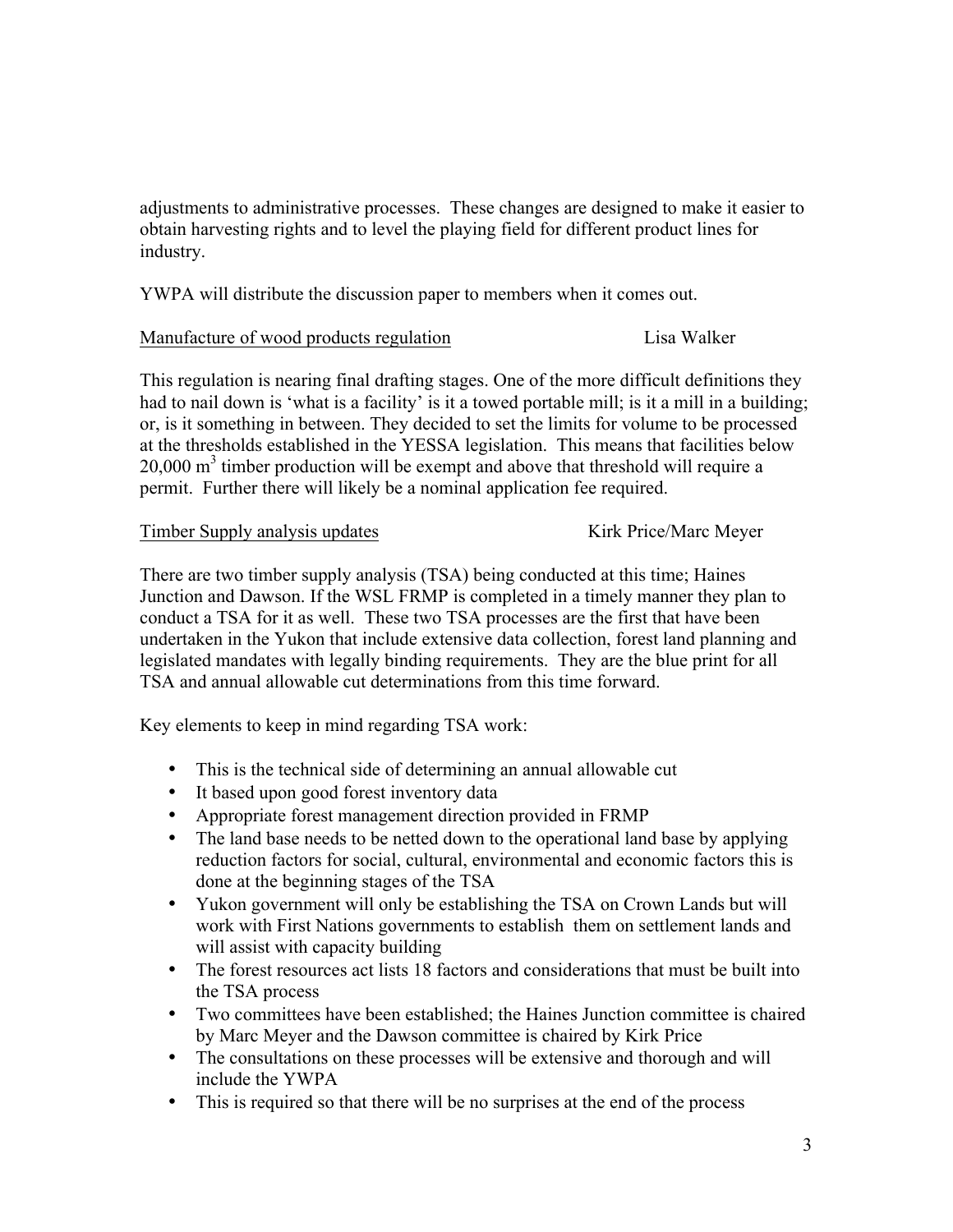adjustments to administrative processes. These changes are designed to make it easier to obtain harvesting rights and to level the playing field for different product lines for industry.

YWPA will distribute the discussion paper to members when it comes out.

## Manufacture of wood products regulation Lisa Walker

This regulation is nearing final drafting stages. One of the more difficult definitions they had to nail down is 'what is a facility' is it a towed portable mill; is it a mill in a building; or, is it something in between. They decided to set the limits for volume to be processed at the thresholds established in the YESSA legislation. This means that facilities below  $20,000$  m<sup>3</sup> timber production will be exempt and above that threshold will require a permit. Further there will likely be a nominal application fee required.

## Timber Supply analysis updates Kirk Price/Marc Meyer

There are two timber supply analysis (TSA) being conducted at this time; Haines Junction and Dawson. If the WSL FRMP is completed in a timely manner they plan to conduct a TSA for it as well. These two TSA processes are the first that have been undertaken in the Yukon that include extensive data collection, forest land planning and legislated mandates with legally binding requirements. They are the blue print for all TSA and annual allowable cut determinations from this time forward.

Key elements to keep in mind regarding TSA work:

- This is the technical side of determining an annual allowable cut
- It based upon good forest inventory data
- Appropriate forest management direction provided in FRMP
- The land base needs to be netted down to the operational land base by applying reduction factors for social, cultural, environmental and economic factors this is done at the beginning stages of the TSA
- Yukon government will only be establishing the TSA on Crown Lands but will work with First Nations governments to establish them on settlement lands and will assist with capacity building
- The forest resources act lists 18 factors and considerations that must be built into the TSA process
- Two committees have been established; the Haines Junction committee is chaired by Marc Meyer and the Dawson committee is chaired by Kirk Price
- The consultations on these processes will be extensive and thorough and will include the YWPA
- This is required so that there will be no surprises at the end of the process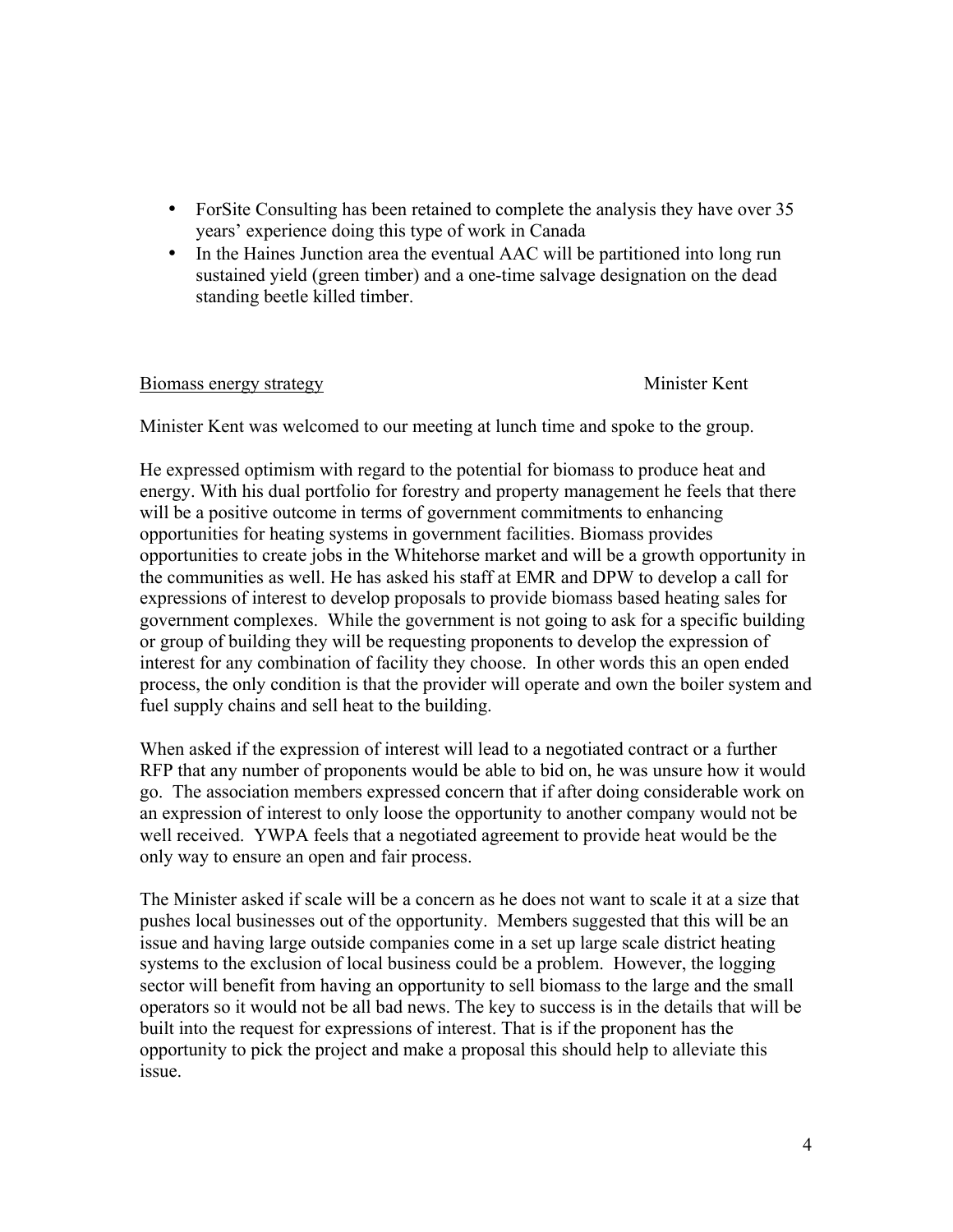- ForSite Consulting has been retained to complete the analysis they have over 35 years' experience doing this type of work in Canada
- In the Haines Junction area the eventual AAC will be partitioned into long run sustained yield (green timber) and a one-time salvage designation on the dead standing beetle killed timber.

### Biomass energy strategy Minister Kent

Minister Kent was welcomed to our meeting at lunch time and spoke to the group.

He expressed optimism with regard to the potential for biomass to produce heat and energy. With his dual portfolio for forestry and property management he feels that there will be a positive outcome in terms of government commitments to enhancing opportunities for heating systems in government facilities. Biomass provides opportunities to create jobs in the Whitehorse market and will be a growth opportunity in the communities as well. He has asked his staff at EMR and DPW to develop a call for expressions of interest to develop proposals to provide biomass based heating sales for government complexes. While the government is not going to ask for a specific building or group of building they will be requesting proponents to develop the expression of interest for any combination of facility they choose. In other words this an open ended process, the only condition is that the provider will operate and own the boiler system and fuel supply chains and sell heat to the building.

When asked if the expression of interest will lead to a negotiated contract or a further RFP that any number of proponents would be able to bid on, he was unsure how it would go. The association members expressed concern that if after doing considerable work on an expression of interest to only loose the opportunity to another company would not be well received. YWPA feels that a negotiated agreement to provide heat would be the only way to ensure an open and fair process.

The Minister asked if scale will be a concern as he does not want to scale it at a size that pushes local businesses out of the opportunity. Members suggested that this will be an issue and having large outside companies come in a set up large scale district heating systems to the exclusion of local business could be a problem. However, the logging sector will benefit from having an opportunity to sell biomass to the large and the small operators so it would not be all bad news. The key to success is in the details that will be built into the request for expressions of interest. That is if the proponent has the opportunity to pick the project and make a proposal this should help to alleviate this issue.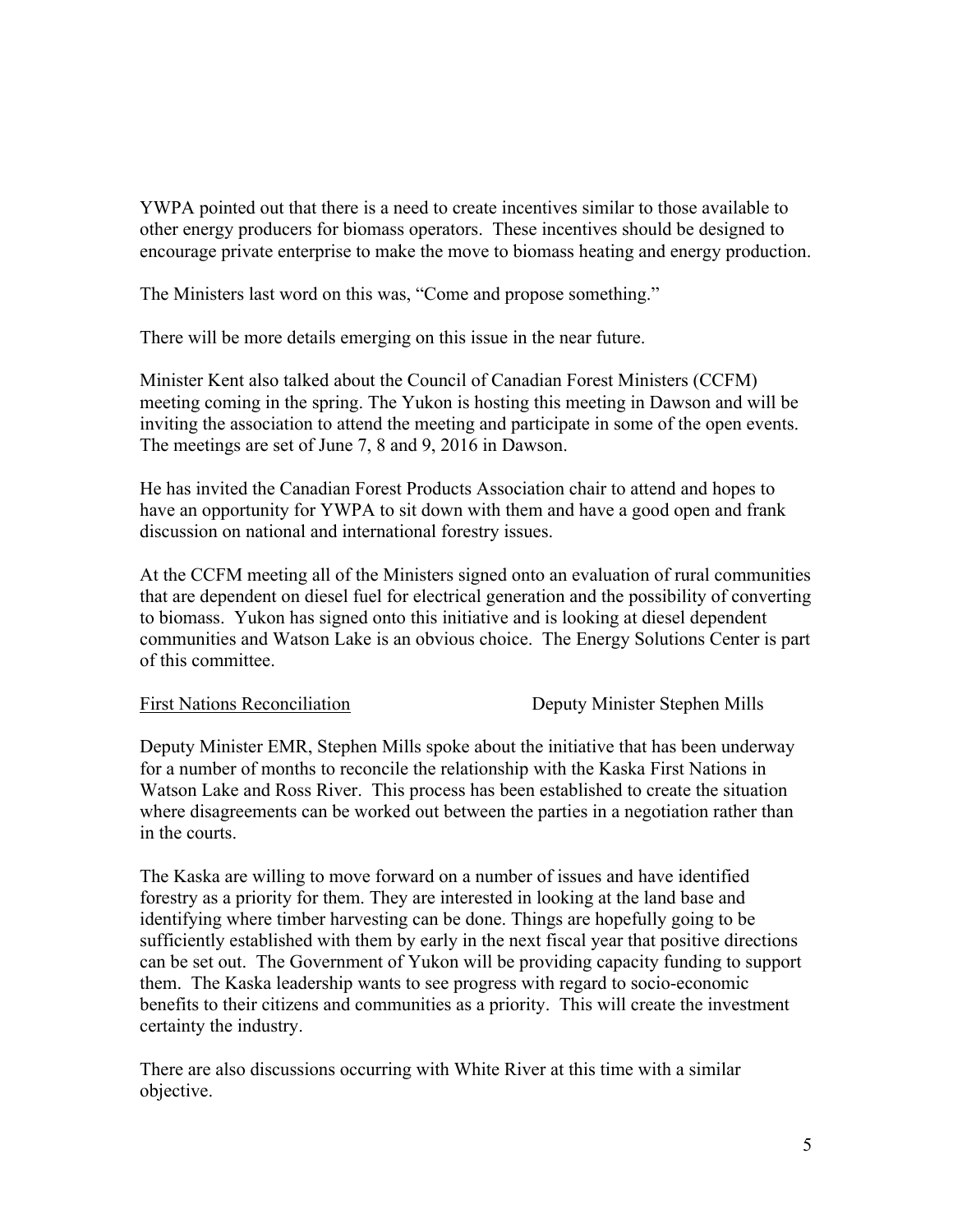YWPA pointed out that there is a need to create incentives similar to those available to other energy producers for biomass operators. These incentives should be designed to encourage private enterprise to make the move to biomass heating and energy production.

The Ministers last word on this was, "Come and propose something."

There will be more details emerging on this issue in the near future.

Minister Kent also talked about the Council of Canadian Forest Ministers (CCFM) meeting coming in the spring. The Yukon is hosting this meeting in Dawson and will be inviting the association to attend the meeting and participate in some of the open events. The meetings are set of June 7, 8 and 9, 2016 in Dawson.

He has invited the Canadian Forest Products Association chair to attend and hopes to have an opportunity for YWPA to sit down with them and have a good open and frank discussion on national and international forestry issues.

At the CCFM meeting all of the Ministers signed onto an evaluation of rural communities that are dependent on diesel fuel for electrical generation and the possibility of converting to biomass. Yukon has signed onto this initiative and is looking at diesel dependent communities and Watson Lake is an obvious choice. The Energy Solutions Center is part of this committee.

First Nations Reconciliation Deputy Minister Stephen Mills

Deputy Minister EMR, Stephen Mills spoke about the initiative that has been underway for a number of months to reconcile the relationship with the Kaska First Nations in Watson Lake and Ross River. This process has been established to create the situation where disagreements can be worked out between the parties in a negotiation rather than in the courts.

The Kaska are willing to move forward on a number of issues and have identified forestry as a priority for them. They are interested in looking at the land base and identifying where timber harvesting can be done. Things are hopefully going to be sufficiently established with them by early in the next fiscal year that positive directions can be set out. The Government of Yukon will be providing capacity funding to support them. The Kaska leadership wants to see progress with regard to socio-economic benefits to their citizens and communities as a priority. This will create the investment certainty the industry.

There are also discussions occurring with White River at this time with a similar objective.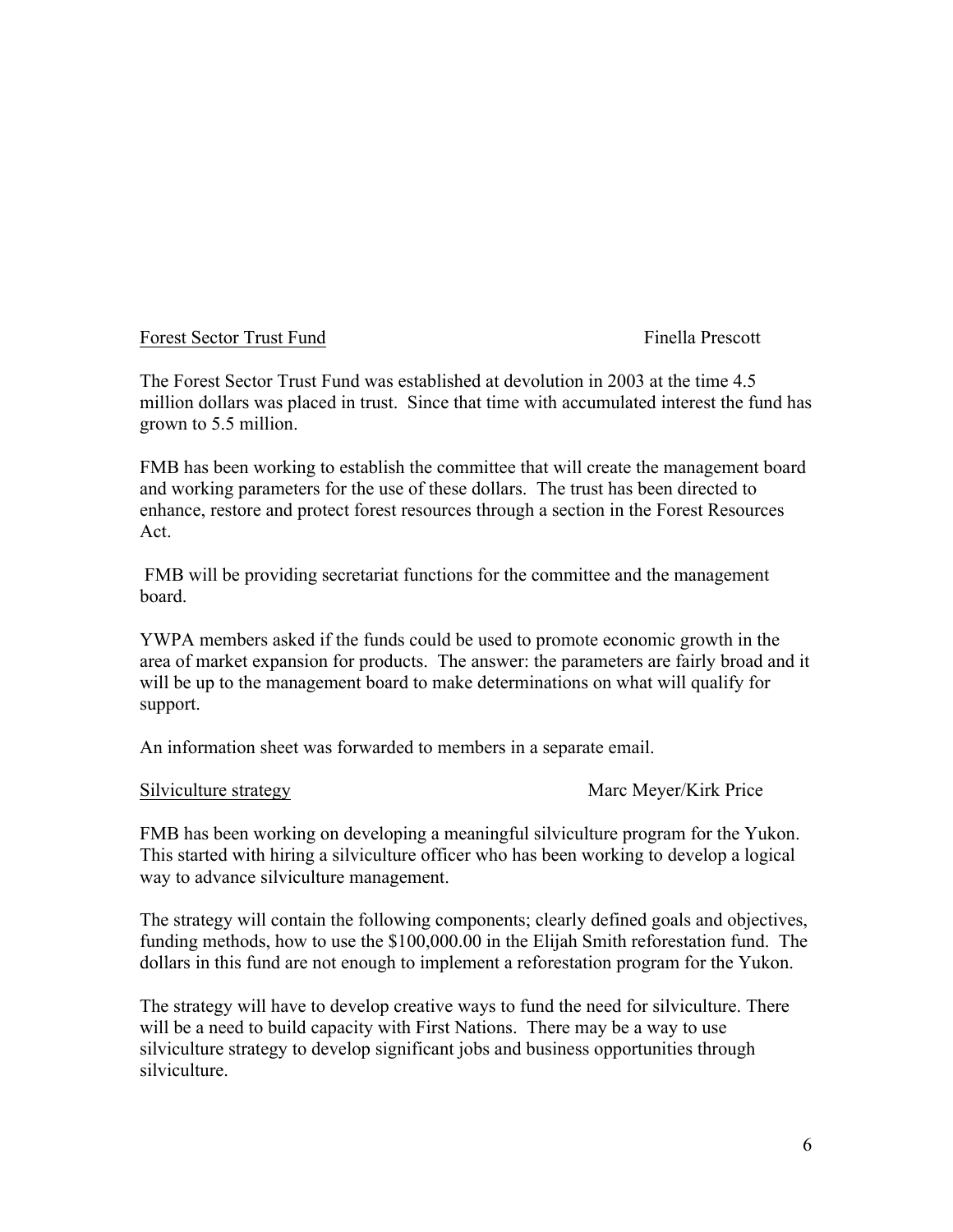## Forest Sector Trust Fund Finella Prescott

The Forest Sector Trust Fund was established at devolution in 2003 at the time 4.5 million dollars was placed in trust. Since that time with accumulated interest the fund has grown to 5.5 million.

FMB has been working to establish the committee that will create the management board and working parameters for the use of these dollars. The trust has been directed to enhance, restore and protect forest resources through a section in the Forest Resources Act.

FMB will be providing secretariat functions for the committee and the management board.

YWPA members asked if the funds could be used to promote economic growth in the area of market expansion for products. The answer: the parameters are fairly broad and it will be up to the management board to make determinations on what will qualify for support.

An information sheet was forwarded to members in a separate email.

Silviculture strategy Marc Meyer/Kirk Price

FMB has been working on developing a meaningful silviculture program for the Yukon. This started with hiring a silviculture officer who has been working to develop a logical way to advance silviculture management.

The strategy will contain the following components; clearly defined goals and objectives, funding methods, how to use the \$100,000.00 in the Elijah Smith reforestation fund. The dollars in this fund are not enough to implement a reforestation program for the Yukon.

The strategy will have to develop creative ways to fund the need for silviculture. There will be a need to build capacity with First Nations. There may be a way to use silviculture strategy to develop significant jobs and business opportunities through silviculture.